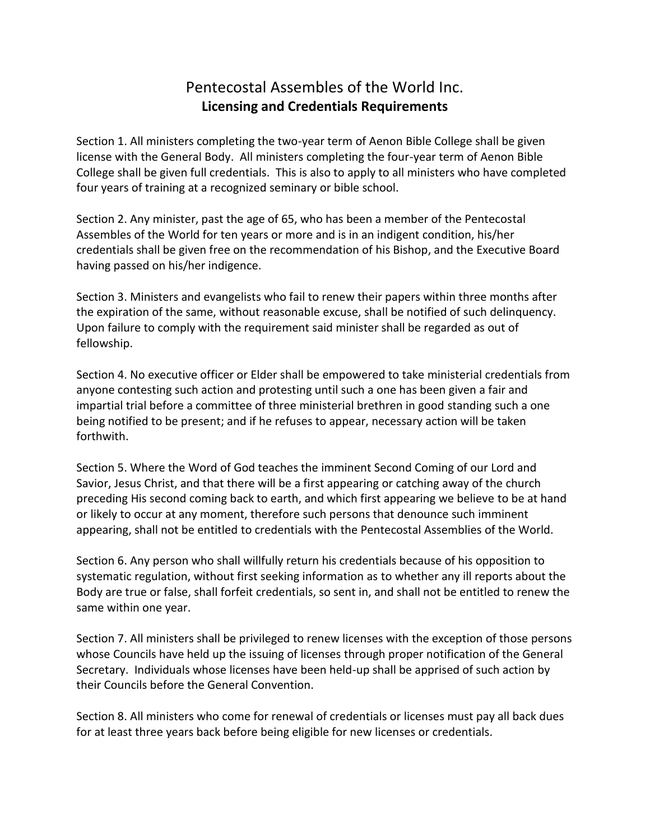## Pentecostal Assembles of the World Inc. **Licensing and Credentials Requirements**

Section 1. All ministers completing the two-year term of Aenon Bible College shall be given license with the General Body. All ministers completing the four-year term of Aenon Bible College shall be given full credentials. This is also to apply to all ministers who have completed four years of training at a recognized seminary or bible school.

Section 2. Any minister, past the age of 65, who has been a member of the Pentecostal Assembles of the World for ten years or more and is in an indigent condition, his/her credentials shall be given free on the recommendation of his Bishop, and the Executive Board having passed on his/her indigence.

Section 3. Ministers and evangelists who fail to renew their papers within three months after the expiration of the same, without reasonable excuse, shall be notified of such delinquency. Upon failure to comply with the requirement said minister shall be regarded as out of fellowship.

Section 4. No executive officer or Elder shall be empowered to take ministerial credentials from anyone contesting such action and protesting until such a one has been given a fair and impartial trial before a committee of three ministerial brethren in good standing such a one being notified to be present; and if he refuses to appear, necessary action will be taken forthwith.

Section 5. Where the Word of God teaches the imminent Second Coming of our Lord and Savior, Jesus Christ, and that there will be a first appearing or catching away of the church preceding His second coming back to earth, and which first appearing we believe to be at hand or likely to occur at any moment, therefore such persons that denounce such imminent appearing, shall not be entitled to credentials with the Pentecostal Assemblies of the World.

Section 6. Any person who shall willfully return his credentials because of his opposition to systematic regulation, without first seeking information as to whether any ill reports about the Body are true or false, shall forfeit credentials, so sent in, and shall not be entitled to renew the same within one year.

Section 7. All ministers shall be privileged to renew licenses with the exception of those persons whose Councils have held up the issuing of licenses through proper notification of the General Secretary. Individuals whose licenses have been held-up shall be apprised of such action by their Councils before the General Convention.

Section 8. All ministers who come for renewal of credentials or licenses must pay all back dues for at least three years back before being eligible for new licenses or credentials.